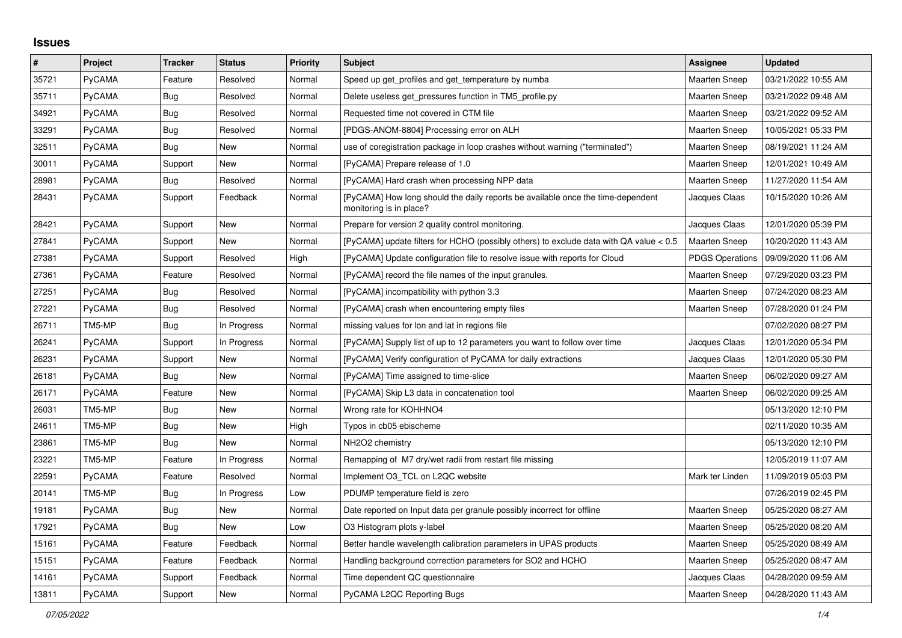## **Issues**

| $\vert$ # | Project       | <b>Tracker</b> | <b>Status</b> | <b>Priority</b> | <b>Subject</b>                                                                                             | Assignee               | <b>Updated</b>      |
|-----------|---------------|----------------|---------------|-----------------|------------------------------------------------------------------------------------------------------------|------------------------|---------------------|
| 35721     | PyCAMA        | Feature        | Resolved      | Normal          | Speed up get profiles and get temperature by numba                                                         | <b>Maarten Sneep</b>   | 03/21/2022 10:55 AM |
| 35711     | PyCAMA        | <b>Bug</b>     | Resolved      | Normal          | Delete useless get pressures function in TM5 profile.py                                                    | <b>Maarten Sneep</b>   | 03/21/2022 09:48 AM |
| 34921     | PyCAMA        | Bug            | Resolved      | Normal          | Requested time not covered in CTM file                                                                     | <b>Maarten Sneep</b>   | 03/21/2022 09:52 AM |
| 33291     | PyCAMA        | Bug            | Resolved      | Normal          | [PDGS-ANOM-8804] Processing error on ALH                                                                   | <b>Maarten Sneep</b>   | 10/05/2021 05:33 PM |
| 32511     | PyCAMA        | Bug            | New           | Normal          | use of coregistration package in loop crashes without warning ("terminated")                               | Maarten Sneep          | 08/19/2021 11:24 AM |
| 30011     | PyCAMA        | Support        | New           | Normal          | [PyCAMA] Prepare release of 1.0                                                                            | Maarten Sneep          | 12/01/2021 10:49 AM |
| 28981     | PyCAMA        | Bug            | Resolved      | Normal          | [PyCAMA] Hard crash when processing NPP data                                                               | <b>Maarten Sneep</b>   | 11/27/2020 11:54 AM |
| 28431     | PyCAMA        | Support        | Feedback      | Normal          | [PyCAMA] How long should the daily reports be available once the time-dependent<br>monitoring is in place? | Jacques Claas          | 10/15/2020 10:26 AM |
| 28421     | PyCAMA        | Support        | New           | Normal          | Prepare for version 2 quality control monitoring.                                                          | Jacques Claas          | 12/01/2020 05:39 PM |
| 27841     | PyCAMA        | Support        | New           | Normal          | [PyCAMA] update filters for HCHO (possibly others) to exclude data with QA value < 0.5                     | Maarten Sneep          | 10/20/2020 11:43 AM |
| 27381     | PyCAMA        | Support        | Resolved      | High            | [PyCAMA] Update configuration file to resolve issue with reports for Cloud                                 | <b>PDGS Operations</b> | 09/09/2020 11:06 AM |
| 27361     | PyCAMA        | Feature        | Resolved      | Normal          | [PyCAMA] record the file names of the input granules.                                                      | Maarten Sneep          | 07/29/2020 03:23 PM |
| 27251     | PyCAMA        | <b>Bug</b>     | Resolved      | Normal          | [PyCAMA] incompatibility with python 3.3                                                                   | <b>Maarten Sneep</b>   | 07/24/2020 08:23 AM |
| 27221     | PyCAMA        | <b>Bug</b>     | Resolved      | Normal          | [PyCAMA] crash when encountering empty files                                                               | Maarten Sneep          | 07/28/2020 01:24 PM |
| 26711     | TM5-MP        | Bug            | In Progress   | Normal          | missing values for lon and lat in regions file                                                             |                        | 07/02/2020 08:27 PM |
| 26241     | PyCAMA        | Support        | In Progress   | Normal          | [PyCAMA] Supply list of up to 12 parameters you want to follow over time                                   | Jacques Claas          | 12/01/2020 05:34 PM |
| 26231     | PyCAMA        | Support        | <b>New</b>    | Normal          | [PyCAMA] Verify configuration of PyCAMA for daily extractions                                              | Jacques Claas          | 12/01/2020 05:30 PM |
| 26181     | PyCAMA        | Bug            | New           | Normal          | [PyCAMA] Time assigned to time-slice                                                                       | Maarten Sneep          | 06/02/2020 09:27 AM |
| 26171     | PyCAMA        | Feature        | New           | Normal          | [PyCAMA] Skip L3 data in concatenation tool                                                                | Maarten Sneep          | 06/02/2020 09:25 AM |
| 26031     | TM5-MP        | Bug            | New           | Normal          | Wrong rate for KOHHNO4                                                                                     |                        | 05/13/2020 12:10 PM |
| 24611     | TM5-MP        | Bug            | New           | High            | Typos in cb05 ebischeme                                                                                    |                        | 02/11/2020 10:35 AM |
| 23861     | TM5-MP        | <b>Bug</b>     | New           | Normal          | NH <sub>2</sub> O <sub>2</sub> chemistry                                                                   |                        | 05/13/2020 12:10 PM |
| 23221     | TM5-MP        | Feature        | In Progress   | Normal          | Remapping of M7 dry/wet radii from restart file missing                                                    |                        | 12/05/2019 11:07 AM |
| 22591     | PyCAMA        | Feature        | Resolved      | Normal          | Implement O3_TCL on L2QC website                                                                           | Mark ter Linden        | 11/09/2019 05:03 PM |
| 20141     | TM5-MP        | Bug            | In Progress   | Low             | PDUMP temperature field is zero                                                                            |                        | 07/26/2019 02:45 PM |
| 19181     | PyCAMA        | <b>Bug</b>     | <b>New</b>    | Normal          | Date reported on Input data per granule possibly incorrect for offline                                     | <b>Maarten Sneep</b>   | 05/25/2020 08:27 AM |
| 17921     | PyCAMA        | <b>Bug</b>     | New           | Low             | O3 Histogram plots y-label                                                                                 | Maarten Sneep          | 05/25/2020 08:20 AM |
| 15161     | PyCAMA        | Feature        | Feedback      | Normal          | Better handle wavelength calibration parameters in UPAS products                                           | <b>Maarten Sneep</b>   | 05/25/2020 08:49 AM |
| 15151     | PyCAMA        | Feature        | Feedback      | Normal          | Handling background correction parameters for SO2 and HCHO                                                 | <b>Maarten Sneep</b>   | 05/25/2020 08:47 AM |
| 14161     | PyCAMA        | Support        | Feedback      | Normal          | Time dependent QC questionnaire                                                                            | Jacques Claas          | 04/28/2020 09:59 AM |
| 13811     | <b>PyCAMA</b> | Support        | New           | Normal          | PyCAMA L2QC Reporting Bugs                                                                                 | <b>Maarten Sneep</b>   | 04/28/2020 11:43 AM |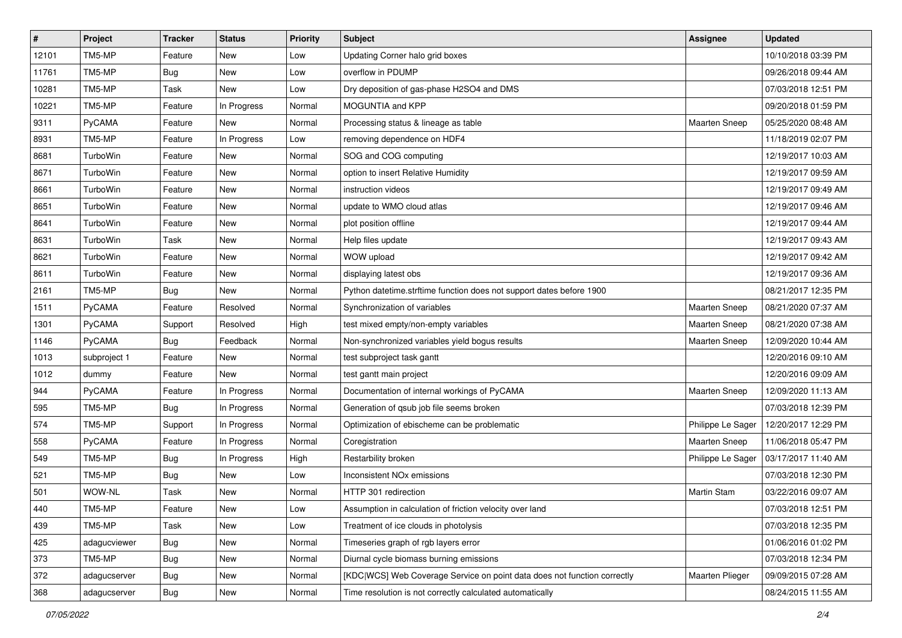| $\sharp$ | Project       | <b>Tracker</b> | <b>Status</b> | <b>Priority</b> | Subject                                                                  | <b>Assignee</b>        | <b>Updated</b>      |
|----------|---------------|----------------|---------------|-----------------|--------------------------------------------------------------------------|------------------------|---------------------|
| 12101    | TM5-MP        | Feature        | <b>New</b>    | Low             | Updating Corner halo grid boxes                                          |                        | 10/10/2018 03:39 PM |
| 11761    | TM5-MP        | Bug            | <b>New</b>    | Low             | overflow in PDUMP                                                        |                        | 09/26/2018 09:44 AM |
| 10281    | TM5-MP        | Task           | New           | Low             | Dry deposition of gas-phase H2SO4 and DMS                                |                        | 07/03/2018 12:51 PM |
| 10221    | TM5-MP        | Feature        | In Progress   | Normal          | <b>MOGUNTIA and KPP</b>                                                  |                        | 09/20/2018 01:59 PM |
| 9311     | PyCAMA        | Feature        | <b>New</b>    | Normal          | Processing status & lineage as table                                     | <b>Maarten Sneep</b>   | 05/25/2020 08:48 AM |
| 8931     | TM5-MP        | Feature        | In Progress   | Low             | removing dependence on HDF4                                              |                        | 11/18/2019 02:07 PM |
| 8681     | TurboWin      | Feature        | New           | Normal          | SOG and COG computing                                                    |                        | 12/19/2017 10:03 AM |
| 8671     | TurboWin      | Feature        | New           | Normal          | option to insert Relative Humidity                                       |                        | 12/19/2017 09:59 AM |
| 8661     | TurboWin      | Feature        | New           | Normal          | instruction videos                                                       |                        | 12/19/2017 09:49 AM |
| 8651     | TurboWin      | Feature        | <b>New</b>    | Normal          | update to WMO cloud atlas                                                |                        | 12/19/2017 09:46 AM |
| 8641     | TurboWin      | Feature        | New           | Normal          | plot position offline                                                    |                        | 12/19/2017 09:44 AM |
| 8631     | TurboWin      | Task           | <b>New</b>    | Normal          | Help files update                                                        |                        | 12/19/2017 09:43 AM |
| 8621     | TurboWin      | Feature        | New           | Normal          | WOW upload                                                               |                        | 12/19/2017 09:42 AM |
| 8611     | TurboWin      | Feature        | New           | Normal          | displaying latest obs                                                    |                        | 12/19/2017 09:36 AM |
| 2161     | TM5-MP        | Bug            | <b>New</b>    | Normal          | Python datetime.strftime function does not support dates before 1900     |                        | 08/21/2017 12:35 PM |
| 1511     | <b>PyCAMA</b> | Feature        | Resolved      | Normal          | Synchronization of variables                                             | Maarten Sneep          | 08/21/2020 07:37 AM |
| 1301     | PyCAMA        | Support        | Resolved      | High            | test mixed empty/non-empty variables                                     | <b>Maarten Sneep</b>   | 08/21/2020 07:38 AM |
| 1146     | <b>PyCAMA</b> | <b>Bug</b>     | Feedback      | Normal          | Non-synchronized variables yield bogus results                           | Maarten Sneep          | 12/09/2020 10:44 AM |
| 1013     | subproject 1  | Feature        | New           | Normal          | test subproject task gantt                                               |                        | 12/20/2016 09:10 AM |
| 1012     | dummy         | Feature        | <b>New</b>    | Normal          | test gantt main project                                                  |                        | 12/20/2016 09:09 AM |
| 944      | <b>PyCAMA</b> | Feature        | In Progress   | Normal          | Documentation of internal workings of PyCAMA                             | <b>Maarten Sneep</b>   | 12/09/2020 11:13 AM |
| 595      | TM5-MP        | <b>Bug</b>     | In Progress   | Normal          | Generation of qsub job file seems broken                                 |                        | 07/03/2018 12:39 PM |
| 574      | TM5-MP        | Support        | In Progress   | Normal          | Optimization of ebischeme can be problematic                             | Philippe Le Sager      | 12/20/2017 12:29 PM |
| 558      | PyCAMA        | Feature        | In Progress   | Normal          | Coregistration                                                           | Maarten Sneep          | 11/06/2018 05:47 PM |
| 549      | TM5-MP        | <b>Bug</b>     | In Progress   | High            | Restarbility broken                                                      | Philippe Le Sager      | 03/17/2017 11:40 AM |
| 521      | TM5-MP        | <b>Bug</b>     | New           | Low             | Inconsistent NO <sub>x</sub> emissions                                   |                        | 07/03/2018 12:30 PM |
| 501      | WOW-NL        | Task           | <b>New</b>    | Normal          | HTTP 301 redirection                                                     | <b>Martin Stam</b>     | 03/22/2016 09:07 AM |
| 440      | TM5-MP        | Feature        | New           | Low             | Assumption in calculation of friction velocity over land                 |                        | 07/03/2018 12:51 PM |
| 439      | TM5-MP        | Task           | New           | Low             | Treatment of ice clouds in photolysis                                    |                        | 07/03/2018 12:35 PM |
| 425      | adagucviewer  | <b>Bug</b>     | New           | Normal          | Timeseries graph of rgb layers error                                     |                        | 01/06/2016 01:02 PM |
| 373      | TM5-MP        | <b>Bug</b>     | New           | Normal          | Diurnal cycle biomass burning emissions                                  |                        | 07/03/2018 12:34 PM |
| 372      | adagucserver  | Bug            | New           | Normal          | [KDC WCS] Web Coverage Service on point data does not function correctly | <b>Maarten Plieger</b> | 09/09/2015 07:28 AM |
| 368      | adagucserver  | Bug            | New           | Normal          | Time resolution is not correctly calculated automatically                |                        | 08/24/2015 11:55 AM |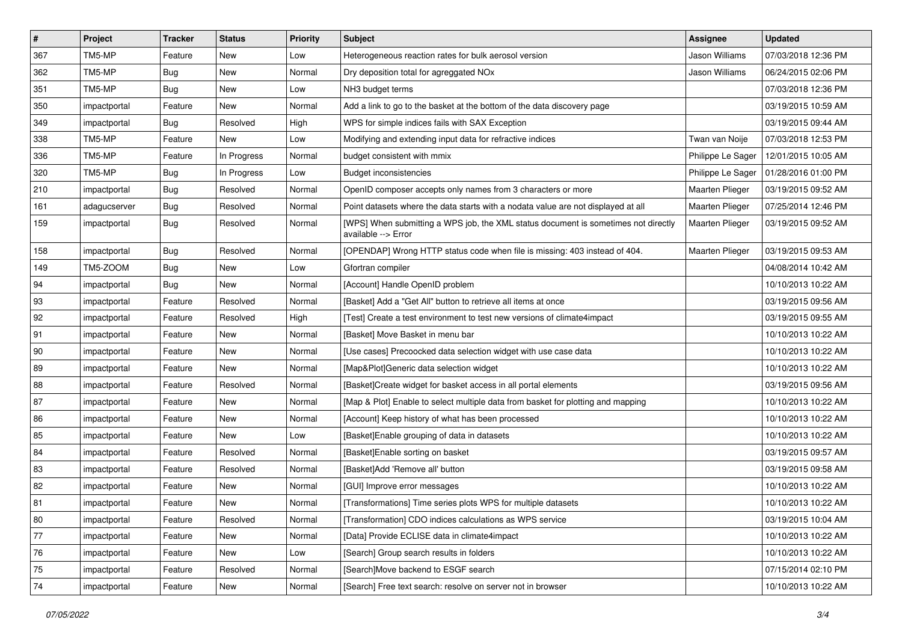| $\vert$ # | Project      | <b>Tracker</b> | <b>Status</b> | <b>Priority</b> | Subject                                                                                                   | Assignee               | <b>Updated</b>      |
|-----------|--------------|----------------|---------------|-----------------|-----------------------------------------------------------------------------------------------------------|------------------------|---------------------|
| 367       | TM5-MP       | Feature        | New           | Low             | Heterogeneous reaction rates for bulk aerosol version                                                     | Jason Williams         | 07/03/2018 12:36 PM |
| 362       | TM5-MP       | <b>Bug</b>     | New           | Normal          | Dry deposition total for agreggated NOx                                                                   | Jason Williams         | 06/24/2015 02:06 PM |
| 351       | TM5-MP       | <b>Bug</b>     | New           | Low             | NH3 budget terms                                                                                          |                        | 07/03/2018 12:36 PM |
| 350       | impactportal | Feature        | New           | Normal          | Add a link to go to the basket at the bottom of the data discovery page                                   |                        | 03/19/2015 10:59 AM |
| 349       | impactportal | Bug            | Resolved      | High            | WPS for simple indices fails with SAX Exception                                                           |                        | 03/19/2015 09:44 AM |
| 338       | TM5-MP       | Feature        | <b>New</b>    | Low             | Modifying and extending input data for refractive indices                                                 | Twan van Noije         | 07/03/2018 12:53 PM |
| 336       | TM5-MP       | Feature        | In Progress   | Normal          | budget consistent with mmix                                                                               | Philippe Le Sager      | 12/01/2015 10:05 AM |
| 320       | TM5-MP       | <b>Bug</b>     | In Progress   | Low             | <b>Budget inconsistencies</b>                                                                             | Philippe Le Sager      | 01/28/2016 01:00 PM |
| 210       | impactportal | <b>Bug</b>     | Resolved      | Normal          | OpenID composer accepts only names from 3 characters or more                                              | Maarten Plieger        | 03/19/2015 09:52 AM |
| 161       | adagucserver | <b>Bug</b>     | Resolved      | Normal          | Point datasets where the data starts with a nodata value are not displayed at all                         | <b>Maarten Plieger</b> | 07/25/2014 12:46 PM |
| 159       | impactportal | <b>Bug</b>     | Resolved      | Normal          | [WPS] When submitting a WPS job, the XML status document is sometimes not directly<br>available --> Error | <b>Maarten Plieger</b> | 03/19/2015 09:52 AM |
| 158       | impactportal | <b>Bug</b>     | Resolved      | Normal          | [OPENDAP] Wrong HTTP status code when file is missing: 403 instead of 404.                                | Maarten Plieger        | 03/19/2015 09:53 AM |
| 149       | TM5-ZOOM     | <b>Bug</b>     | New           | Low             | Gfortran compiler                                                                                         |                        | 04/08/2014 10:42 AM |
| 94        | impactportal | <b>Bug</b>     | New           | Normal          | [Account] Handle OpenID problem                                                                           |                        | 10/10/2013 10:22 AM |
| 93        | impactportal | Feature        | Resolved      | Normal          | [Basket] Add a "Get All" button to retrieve all items at once                                             |                        | 03/19/2015 09:56 AM |
| 92        | impactportal | Feature        | Resolved      | High            | [Test] Create a test environment to test new versions of climate4impact                                   |                        | 03/19/2015 09:55 AM |
| 91        | impactportal | Feature        | New           | Normal          | [Basket] Move Basket in menu bar                                                                          |                        | 10/10/2013 10:22 AM |
| 90        | impactportal | Feature        | New           | Normal          | [Use cases] Precoocked data selection widget with use case data                                           |                        | 10/10/2013 10:22 AM |
| 89        | impactportal | Feature        | New           | Normal          | [Map&Plot]Generic data selection widget                                                                   |                        | 10/10/2013 10:22 AM |
| 88        | impactportal | Feature        | Resolved      | Normal          | [Basket]Create widget for basket access in all portal elements                                            |                        | 03/19/2015 09:56 AM |
| 87        | impactportal | Feature        | New           | Normal          | [Map & Plot] Enable to select multiple data from basket for plotting and mapping                          |                        | 10/10/2013 10:22 AM |
| 86        | impactportal | Feature        | New           | Normal          | [Account] Keep history of what has been processed                                                         |                        | 10/10/2013 10:22 AM |
| 85        | impactportal | Feature        | <b>New</b>    | Low             | [Basket]Enable grouping of data in datasets                                                               |                        | 10/10/2013 10:22 AM |
| 84        | impactportal | Feature        | Resolved      | Normal          | [Basket]Enable sorting on basket                                                                          |                        | 03/19/2015 09:57 AM |
| 83        | impactportal | Feature        | Resolved      | Normal          | [Basket]Add 'Remove all' button                                                                           |                        | 03/19/2015 09:58 AM |
| 82        | impactportal | Feature        | New           | Normal          | [GUI] Improve error messages                                                                              |                        | 10/10/2013 10:22 AM |
| 81        | impactportal | Feature        | New           | Normal          | [Transformations] Time series plots WPS for multiple datasets                                             |                        | 10/10/2013 10:22 AM |
| 80        | impactportal | Feature        | Resolved      | Normal          | [Transformation] CDO indices calculations as WPS service                                                  |                        | 03/19/2015 10:04 AM |
| $77$      | impactportal | Feature        | New           | Normal          | [Data] Provide ECLISE data in climate4impact                                                              |                        | 10/10/2013 10:22 AM |
| 76        | impactportal | Feature        | New           | Low             | [Search] Group search results in folders                                                                  |                        | 10/10/2013 10:22 AM |
| $75\,$    | impactportal | Feature        | Resolved      | Normal          | [Search]Move backend to ESGF search                                                                       |                        | 07/15/2014 02:10 PM |
| 74        | impactportal | Feature        | New           | Normal          | [Search] Free text search: resolve on server not in browser                                               |                        | 10/10/2013 10:22 AM |